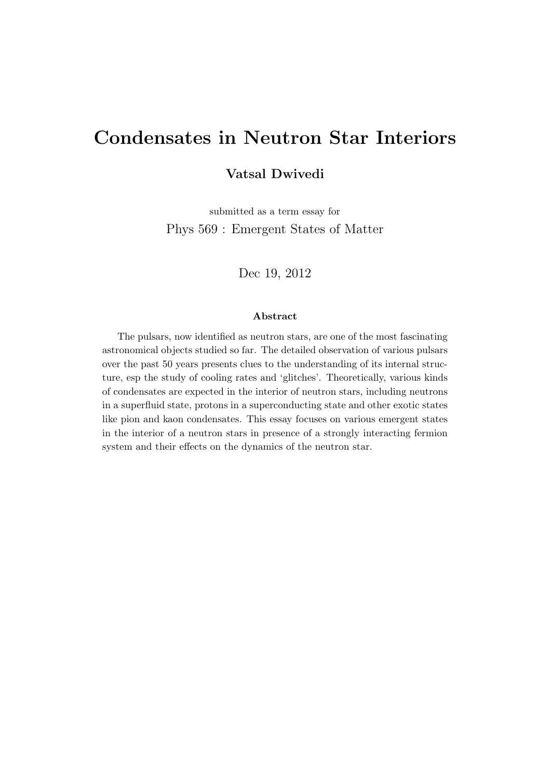# Condensates in Neutron Star Interiors

#### Vatsal Dwivedi

submitted as a term essay for Phys 569 : Emergent States of Matter

Dec 19, 2012

#### Abstract

The pulsars, now identified as neutron stars, are one of the most fascinating astronomical objects studied so far. The detailed observation of various pulsars over the past 50 years presents clues to the understanding of its internal structure, esp the study of cooling rates and 'glitches'. Theoretically, various kinds of condensates are expected in the interior of neutron stars, including neutrons in a superfluid state, protons in a superconducting state and other exotic states like pion and kaon condensates. This essay focuses on various emergent states in the interior of a neutron stars in presence of a strongly interacting fermion system and their effects on the dynamics of the neutron star.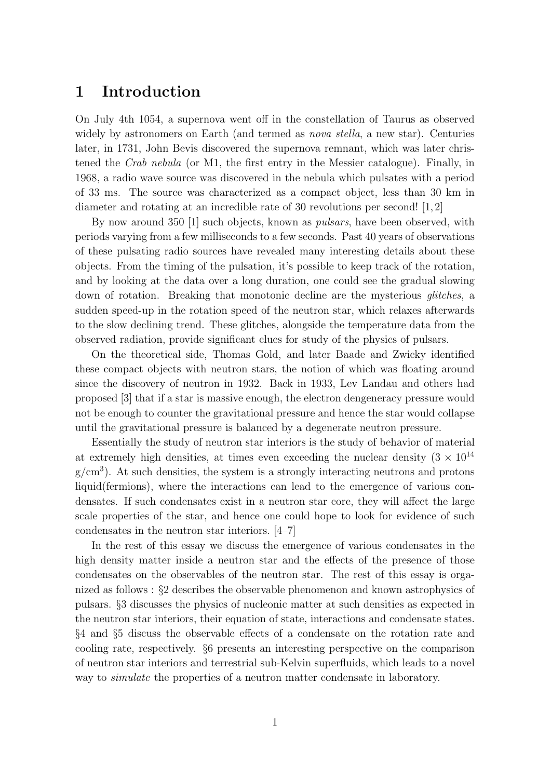# 1 Introduction

On July 4th 1054, a supernova went off in the constellation of Taurus as observed widely by astronomers on Earth (and termed as *nova stella*, a new star). Centuries later, in 1731, John Bevis discovered the supernova remnant, which was later christened the Crab nebula (or M1, the first entry in the Messier catalogue). Finally, in 1968, a radio wave source was discovered in the nebula which pulsates with a period of 33 ms. The source was characterized as a compact object, less than 30 km in diameter and rotating at an incredible rate of 30 revolutions per second! [1, 2]

By now around 350 [1] such objects, known as *pulsars*, have been observed, with periods varying from a few milliseconds to a few seconds. Past 40 years of observations of these pulsating radio sources have revealed many interesting details about these objects. From the timing of the pulsation, it's possible to keep track of the rotation, and by looking at the data over a long duration, one could see the gradual slowing down of rotation. Breaking that monotonic decline are the mysterious *glitches*, a sudden speed-up in the rotation speed of the neutron star, which relaxes afterwards to the slow declining trend. These glitches, alongside the temperature data from the observed radiation, provide significant clues for study of the physics of pulsars.

On the theoretical side, Thomas Gold, and later Baade and Zwicky identified these compact objects with neutron stars, the notion of which was floating around since the discovery of neutron in 1932. Back in 1933, Lev Landau and others had proposed [3] that if a star is massive enough, the electron dengeneracy pressure would not be enough to counter the gravitational pressure and hence the star would collapse until the gravitational pressure is balanced by a degenerate neutron pressure.

Essentially the study of neutron star interiors is the study of behavior of material at extremely high densities, at times even exceeding the nuclear density  $(3 \times 10^{14}$  $g/cm<sup>3</sup>$ ). At such densities, the system is a strongly interacting neutrons and protons liquid(fermions), where the interactions can lead to the emergence of various condensates. If such condensates exist in a neutron star core, they will affect the large scale properties of the star, and hence one could hope to look for evidence of such condensates in the neutron star interiors. [4–7]

In the rest of this essay we discuss the emergence of various condensates in the high density matter inside a neutron star and the effects of the presence of those condensates on the observables of the neutron star. The rest of this essay is organized as follows : §2 describes the observable phenomenon and known astrophysics of pulsars. §3 discusses the physics of nucleonic matter at such densities as expected in the neutron star interiors, their equation of state, interactions and condensate states. §4 and §5 discuss the observable effects of a condensate on the rotation rate and cooling rate, respectively. §6 presents an interesting perspective on the comparison of neutron star interiors and terrestrial sub-Kelvin superfluids, which leads to a novel way to *simulate* the properties of a neutron matter condensate in laboratory.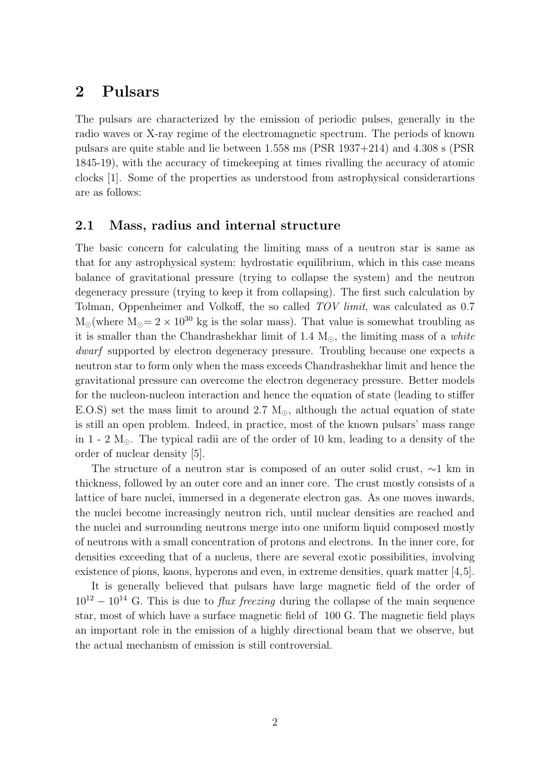# 2 Pulsars

The pulsars are characterized by the emission of periodic pulses, generally in the radio waves or X-ray regime of the electromagnetic spectrum. The periods of known pulsars are quite stable and lie between 1.558 ms (PSR 1937+214) and 4.308 s (PSR 1845-19), with the accuracy of timekeeping at times rivalling the accuracy of atomic clocks [1]. Some of the properties as understood from astrophysical considerartions are as follows:

#### 2.1 Mass, radius and internal structure

The basic concern for calculating the limiting mass of a neutron star is same as that for any astrophysical system: hydrostatic equilibrium, which in this case means balance of gravitational pressure (trying to collapse the system) and the neutron degeneracy pressure (trying to keep it from collapsing). The first such calculation by Tolman, Oppenheimer and Volkoff, the so called TOV limit, was calculated as 0.7  $M_{\odot}$  (where  $M_{\odot} = 2 \times 10^{30}$  kg is the solar mass). That value is somewhat troubling as it is smaller than the Chandrashekhar limit of 1.4  $M_{\odot}$ , the limiting mass of a *white* dwarf supported by electron degeneracy pressure. Troubling because one expects a neutron star to form only when the mass exceeds Chandrashekhar limit and hence the gravitational pressure can overcome the electron degeneracy pressure. Better models for the nucleon-nucleon interaction and hence the equation of state (leading to stiffer E.O.S) set the mass limit to around 2.7  $M_{\odot}$ , although the actual equation of state is still an open problem. Indeed, in practice, most of the known pulsars' mass range in  $1 - 2$   $M_{\odot}$ . The typical radii are of the order of 10 km, leading to a density of the order of nuclear density [5].

The structure of a neutron star is composed of an outer solid crust, ∼1 km in thickness, followed by an outer core and an inner core. The crust mostly consists of a lattice of bare nuclei, immersed in a degenerate electron gas. As one moves inwards, the nuclei become increasingly neutron rich, until nuclear densities are reached and the nuclei and surrounding neutrons merge into one uniform liquid composed mostly of neutrons with a small concentration of protons and electrons. In the inner core, for densities exceeding that of a nucleus, there are several exotic possibilities, involving existence of pions, kaons, hyperons and even, in extreme densities, quark matter [4,5].

It is generally believed that pulsars have large magnetic field of the order of  $10^{12} - 10^{14}$  G. This is due to *flux freezing* during the collapse of the main sequence star, most of which have a surface magnetic field of 100 G. The magnetic field plays an important role in the emission of a highly directional beam that we observe, but the actual mechanism of emission is still controversial.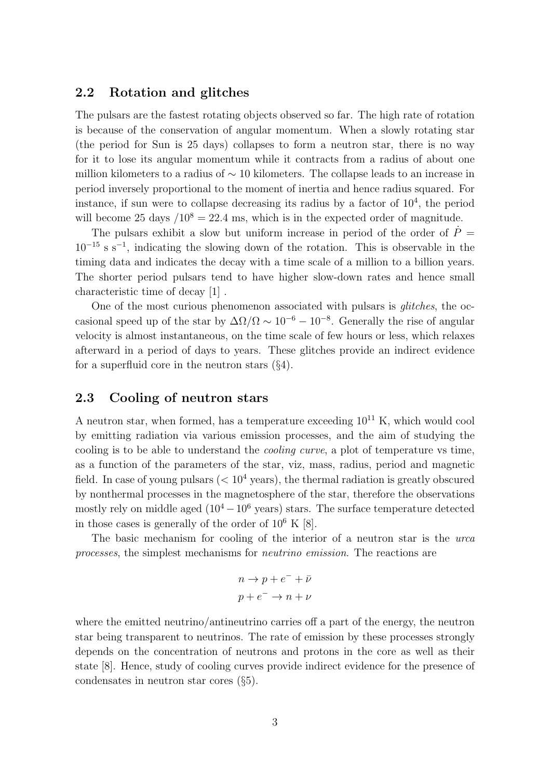#### 2.2 Rotation and glitches

The pulsars are the fastest rotating objects observed so far. The high rate of rotation is because of the conservation of angular momentum. When a slowly rotating star (the period for Sun is 25 days) collapses to form a neutron star, there is no way for it to lose its angular momentum while it contracts from a radius of about one million kilometers to a radius of  $\sim$  10 kilometers. The collapse leads to an increase in period inversely proportional to the moment of inertia and hence radius squared. For instance, if sun were to collapse decreasing its radius by a factor of  $10<sup>4</sup>$ , the period will become 25 days  $/10^8 = 22.4$  ms, which is in the expected order of magnitude.

The pulsars exhibit a slow but uniform increase in period of the order of  $\dot{P}$  = 10<sup>−</sup><sup>15</sup> s s<sup>−</sup><sup>1</sup> , indicating the slowing down of the rotation. This is observable in the timing data and indicates the decay with a time scale of a million to a billion years. The shorter period pulsars tend to have higher slow-down rates and hence small characteristic time of decay [1] .

One of the most curious phenomenon associated with pulsars is glitches, the occasional speed up of the star by  $\Delta\Omega/\Omega \sim 10^{-6} - 10^{-8}$ . Generally the rise of angular velocity is almost instantaneous, on the time scale of few hours or less, which relaxes afterward in a period of days to years. These glitches provide an indirect evidence for a superfluid core in the neutron stars  $(\S4)$ .

#### 2.3 Cooling of neutron stars

A neutron star, when formed, has a temperature exceeding  $10^{11}$  K, which would cool by emitting radiation via various emission processes, and the aim of studying the cooling is to be able to understand the cooling curve, a plot of temperature vs time, as a function of the parameters of the star, viz, mass, radius, period and magnetic field. In case of young pulsars  $(< 10<sup>4</sup>$  years), the thermal radiation is greatly obscured by nonthermal processes in the magnetosphere of the star, therefore the observations mostly rely on middle aged  $(10^4 - 10^6$  years) stars. The surface temperature detected in those cases is generally of the order of  $10^6$  K [8].

The basic mechanism for cooling of the interior of a neutron star is the urca processes, the simplest mechanisms for neutrino emission. The reactions are

$$
n \to p + e^- + \bar{\nu}
$$
  

$$
p + e^- \to n + \nu
$$

where the emitted neutrino/antineutrino carries off a part of the energy, the neutron star being transparent to neutrinos. The rate of emission by these processes strongly depends on the concentration of neutrons and protons in the core as well as their state [8]. Hence, study of cooling curves provide indirect evidence for the presence of condensates in neutron star cores (§5).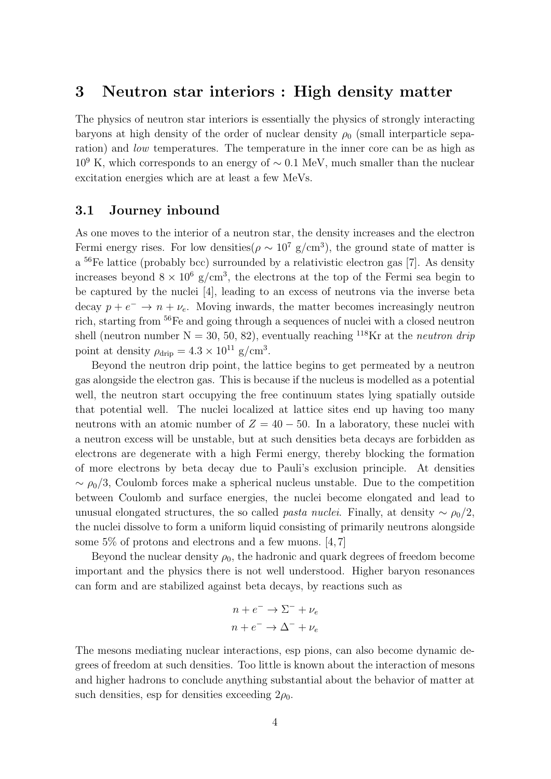# 3 Neutron star interiors : High density matter

The physics of neutron star interiors is essentially the physics of strongly interacting baryons at high density of the order of nuclear density  $\rho_0$  (small interparticle separation) and low temperatures. The temperature in the inner core can be as high as  $10^9$  K, which corresponds to an energy of  $\sim 0.1$  MeV, much smaller than the nuclear excitation energies which are at least a few MeVs.

#### 3.1 Journey inbound

As one moves to the interior of a neutron star, the density increases and the electron Fermi energy rises. For low densities  $(\rho \sim 10^7 \text{ g/cm}^3)$ , the ground state of matter is a<sup>56</sup>Fe lattice (probably bcc) surrounded by a relativistic electron gas [7]. As density increases beyond  $8 \times 10^6$  g/cm<sup>3</sup>, the electrons at the top of the Fermi sea begin to be captured by the nuclei [4], leading to an excess of neutrons via the inverse beta decay  $p + e^- \rightarrow n + \nu_e$ . Moving inwards, the matter becomes increasingly neutron rich, starting from <sup>56</sup>Fe and going through a sequences of nuclei with a closed neutron shell (neutron number  $N = 30, 50, 82$ ), eventually reaching <sup>118</sup>Kr at the *neutron drip* point at density  $\rho_{\text{drip}} = 4.3 \times 10^{11} \text{ g/cm}^3$ .

Beyond the neutron drip point, the lattice begins to get permeated by a neutron gas alongside the electron gas. This is because if the nucleus is modelled as a potential well, the neutron start occupying the free continuum states lying spatially outside that potential well. The nuclei localized at lattice sites end up having too many neutrons with an atomic number of  $Z = 40 - 50$ . In a laboratory, these nuclei with a neutron excess will be unstable, but at such densities beta decays are forbidden as electrons are degenerate with a high Fermi energy, thereby blocking the formation of more electrons by beta decay due to Pauli's exclusion principle. At densities  $\sim \rho_0/3$ , Coulomb forces make a spherical nucleus unstable. Due to the competition between Coulomb and surface energies, the nuclei become elongated and lead to unusual elongated structures, the so called *pasta nuclei*. Finally, at density  $\sim \rho_0/2$ . the nuclei dissolve to form a uniform liquid consisting of primarily neutrons alongside some 5% of protons and electrons and a few muons. [4, 7]

Beyond the nuclear density  $\rho_0$ , the hadronic and quark degrees of freedom become important and the physics there is not well understood. Higher baryon resonances can form and are stabilized against beta decays, by reactions such as

$$
n + e^- \rightarrow \Sigma^- + \nu_e
$$
  

$$
n + e^- \rightarrow \Delta^- + \nu_e
$$

The mesons mediating nuclear interactions, esp pions, can also become dynamic degrees of freedom at such densities. Too little is known about the interaction of mesons and higher hadrons to conclude anything substantial about the behavior of matter at such densities, esp for densities exceeding  $2\rho_0$ .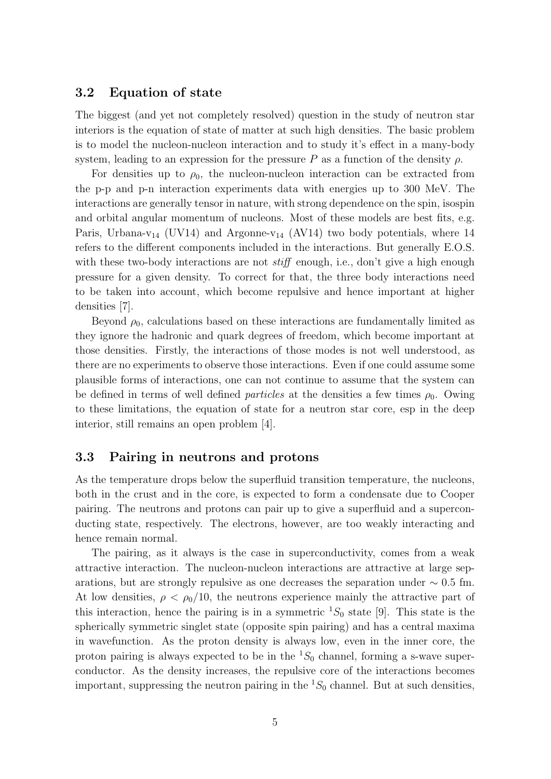#### 3.2 Equation of state

The biggest (and yet not completely resolved) question in the study of neutron star interiors is the equation of state of matter at such high densities. The basic problem is to model the nucleon-nucleon interaction and to study it's effect in a many-body system, leading to an expression for the pressure P as a function of the density  $\rho$ .

For densities up to  $\rho_0$ , the nucleon-nucleon interaction can be extracted from the p-p and p-n interaction experiments data with energies up to 300 MeV. The interactions are generally tensor in nature, with strong dependence on the spin, isospin and orbital angular momentum of nucleons. Most of these models are best fits, e.g. Paris, Urbana-v<sub>14</sub> (UV14) and Argonne-v<sub>14</sub> (AV14) two body potentials, where 14 refers to the different components included in the interactions. But generally E.O.S. with these two-body interactions are not *stiff* enough, i.e., don't give a high enough pressure for a given density. To correct for that, the three body interactions need to be taken into account, which become repulsive and hence important at higher densities [7].

Beyond  $\rho_0$ , calculations based on these interactions are fundamentally limited as they ignore the hadronic and quark degrees of freedom, which become important at those densities. Firstly, the interactions of those modes is not well understood, as there are no experiments to observe those interactions. Even if one could assume some plausible forms of interactions, one can not continue to assume that the system can be defined in terms of well defined *particles* at the densities a few times  $\rho_0$ . Owing to these limitations, the equation of state for a neutron star core, esp in the deep interior, still remains an open problem [4].

#### 3.3 Pairing in neutrons and protons

As the temperature drops below the superfluid transition temperature, the nucleons, both in the crust and in the core, is expected to form a condensate due to Cooper pairing. The neutrons and protons can pair up to give a superfluid and a superconducting state, respectively. The electrons, however, are too weakly interacting and hence remain normal.

The pairing, as it always is the case in superconductivity, comes from a weak attractive interaction. The nucleon-nucleon interactions are attractive at large separations, but are strongly repulsive as one decreases the separation under  $\sim 0.5$  fm. At low densities,  $\rho < \rho_0/10$ , the neutrons experience mainly the attractive part of this interaction, hence the pairing is in a symmetric  ${}^{1}S_{0}$  state [9]. This state is the spherically symmetric singlet state (opposite spin pairing) and has a central maxima in wavefunction. As the proton density is always low, even in the inner core, the proton pairing is always expected to be in the  ${}^{1}S_{0}$  channel, forming a s-wave superconductor. As the density increases, the repulsive core of the interactions becomes important, suppressing the neutron pairing in the  ${}^{1}S_{0}$  channel. But at such densities,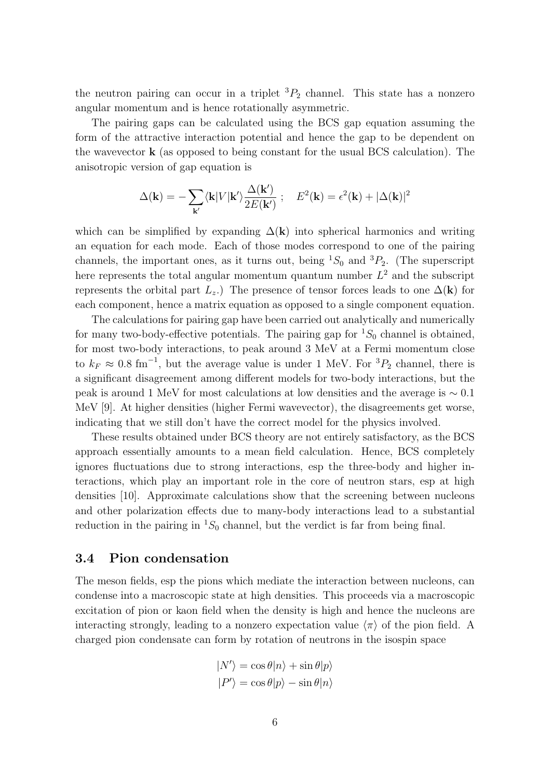the neutron pairing can occur in a triplet  ${}^{3}P_{2}$  channel. This state has a nonzero angular momentum and is hence rotationally asymmetric.

The pairing gaps can be calculated using the BCS gap equation assuming the form of the attractive interaction potential and hence the gap to be dependent on the wavevector k (as opposed to being constant for the usual BCS calculation). The anisotropic version of gap equation is

$$
\Delta(\mathbf{k}) = -\sum_{\mathbf{k'}} \langle \mathbf{k} | V | \mathbf{k'} \rangle \frac{\Delta(\mathbf{k'})}{2E(\mathbf{k'})} \; ; \quad E^2(\mathbf{k}) = \epsilon^2(\mathbf{k}) + |\Delta(\mathbf{k})|^2
$$

which can be simplified by expanding  $\Delta(k)$  into spherical harmonics and writing an equation for each mode. Each of those modes correspond to one of the pairing channels, the important ones, as it turns out, being  ${}^{1}S_{0}$  and  ${}^{3}P_{2}$ . (The superscript here represents the total angular momentum quantum number  $L^2$  and the subscript represents the orbital part  $L_z$ .) The presence of tensor forces leads to one  $\Delta(\mathbf{k})$  for each component, hence a matrix equation as opposed to a single component equation.

The calculations for pairing gap have been carried out analytically and numerically for many two-body-effective potentials. The pairing gap for  ${}^{1}S_{0}$  channel is obtained, for most two-body interactions, to peak around 3 MeV at a Fermi momentum close to  $k_F \approx 0.8 \text{ fm}^{-1}$ , but the average value is under 1 MeV. For  ${}^3P_2$  channel, there is a significant disagreement among different models for two-body interactions, but the peak is around 1 MeV for most calculations at low densities and the average is ∼ 0.1 MeV [9]. At higher densities (higher Fermi wavevector), the disagreements get worse, indicating that we still don't have the correct model for the physics involved.

These results obtained under BCS theory are not entirely satisfactory, as the BCS approach essentially amounts to a mean field calculation. Hence, BCS completely ignores fluctuations due to strong interactions, esp the three-body and higher interactions, which play an important role in the core of neutron stars, esp at high densities [10]. Approximate calculations show that the screening between nucleons and other polarization effects due to many-body interactions lead to a substantial reduction in the pairing in  ${}^{1}S_{0}$  channel, but the verdict is far from being final.

#### 3.4 Pion condensation

The meson fields, esp the pions which mediate the interaction between nucleons, can condense into a macroscopic state at high densities. This proceeds via a macroscopic excitation of pion or kaon field when the density is high and hence the nucleons are interacting strongly, leading to a nonzero expectation value  $\langle \pi \rangle$  of the pion field. A charged pion condensate can form by rotation of neutrons in the isospin space

$$
|N'\rangle = \cos \theta |n\rangle + \sin \theta |p\rangle
$$
  

$$
|P'\rangle = \cos \theta |p\rangle - \sin \theta |n\rangle
$$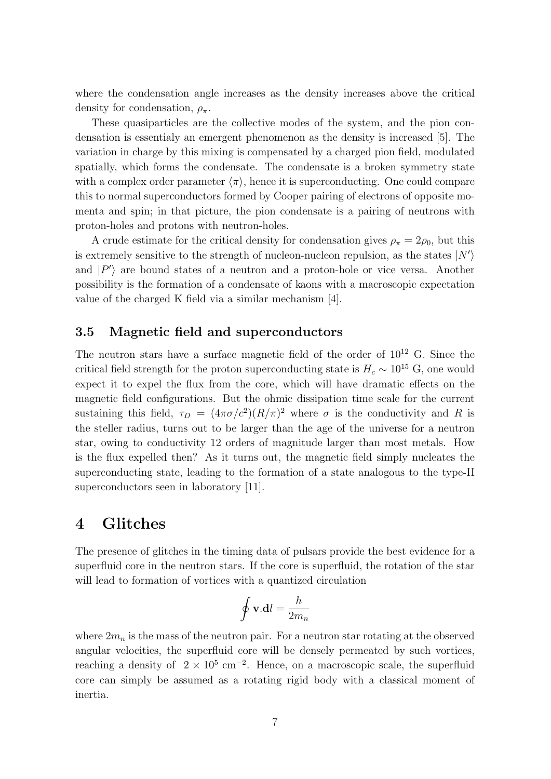where the condensation angle increases as the density increases above the critical density for condensation,  $\rho_{\pi}$ .

These quasiparticles are the collective modes of the system, and the pion condensation is essentialy an emergent phenomenon as the density is increased [5]. The variation in charge by this mixing is compensated by a charged pion field, modulated spatially, which forms the condensate. The condensate is a broken symmetry state with a complex order parameter  $\langle \pi \rangle$ , hence it is superconducting. One could compare this to normal superconductors formed by Cooper pairing of electrons of opposite momenta and spin; in that picture, the pion condensate is a pairing of neutrons with proton-holes and protons with neutron-holes.

A crude estimate for the critical density for condensation gives  $\rho_{\pi} = 2\rho_0$ , but this is extremely sensitive to the strength of nucleon-nucleon repulsion, as the states  $|N'\rangle$ and  $|P'\rangle$  are bound states of a neutron and a proton-hole or vice versa. Another possibility is the formation of a condensate of kaons with a macroscopic expectation value of the charged K field via a similar mechanism [4].

#### 3.5 Magnetic field and superconductors

The neutron stars have a surface magnetic field of the order of  $10^{12}$  G. Since the critical field strength for the proton superconducting state is  $H_c \sim 10^{15}$  G, one would expect it to expel the flux from the core, which will have dramatic effects on the magnetic field configurations. But the ohmic dissipation time scale for the current sustaining this field,  $\tau_D = (4\pi\sigma/c^2)(R/\pi)^2$  where  $\sigma$  is the conductivity and R is the steller radius, turns out to be larger than the age of the universe for a neutron star, owing to conductivity 12 orders of magnitude larger than most metals. How is the flux expelled then? As it turns out, the magnetic field simply nucleates the superconducting state, leading to the formation of a state analogous to the type-II superconductors seen in laboratory [11].

### 4 Glitches

The presence of glitches in the timing data of pulsars provide the best evidence for a superfluid core in the neutron stars. If the core is superfluid, the rotation of the star will lead to formation of vortices with a quantized circulation

$$
\oint \mathbf{v}.\mathbf{d}l = \frac{h}{2m_n}
$$

where  $2m_n$  is the mass of the neutron pair. For a neutron star rotating at the observed angular velocities, the superfluid core will be densely permeated by such vortices, reaching a density of  $2 \times 10^5$  cm<sup>-2</sup>. Hence, on a macroscopic scale, the superfluid core can simply be assumed as a rotating rigid body with a classical moment of inertia.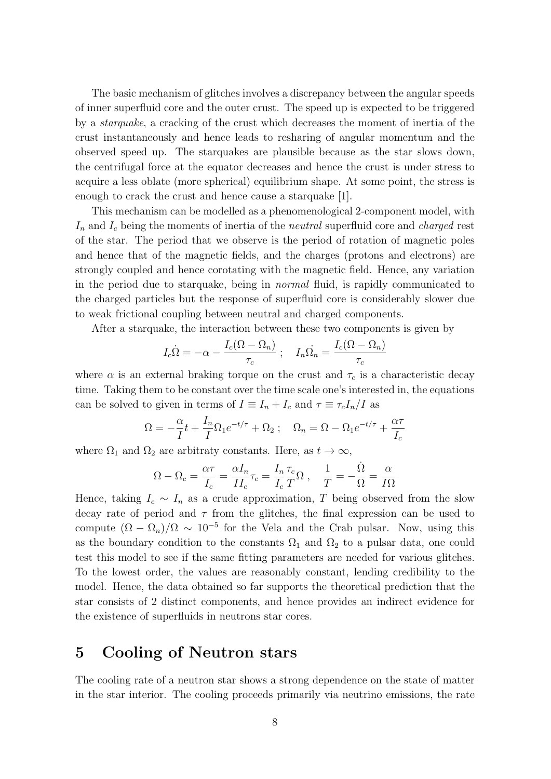The basic mechanism of glitches involves a discrepancy between the angular speeds of inner superfluid core and the outer crust. The speed up is expected to be triggered by a starquake, a cracking of the crust which decreases the moment of inertia of the crust instantaneously and hence leads to resharing of angular momentum and the observed speed up. The starquakes are plausible because as the star slows down, the centrifugal force at the equator decreases and hence the crust is under stress to acquire a less oblate (more spherical) equilibrium shape. At some point, the stress is enough to crack the crust and hence cause a starquake [1].

This mechanism can be modelled as a phenomenological 2-component model, with  $I_n$  and  $I_c$  being the moments of inertia of the *neutral* superfluid core and *charged* rest of the star. The period that we observe is the period of rotation of magnetic poles and hence that of the magnetic fields, and the charges (protons and electrons) are strongly coupled and hence corotating with the magnetic field. Hence, any variation in the period due to starquake, being in normal fluid, is rapidly communicated to the charged particles but the response of superfluid core is considerably slower due to weak frictional coupling between neutral and charged components.

After a starquake, the interaction between these two components is given by

$$
I_c \dot{\Omega} = -\alpha - \frac{I_c(\Omega - \Omega_n)}{\tau_c} \; ; \quad I_n \dot{\Omega_n} = \frac{I_c(\Omega - \Omega_n)}{\tau_c}
$$

where  $\alpha$  is an external braking torque on the crust and  $\tau_c$  is a characteristic decay time. Taking them to be constant over the time scale one's interested in, the equations can be solved to given in terms of  $I \equiv I_n + I_c$  and  $\tau \equiv \tau_c I_n / I$  as

$$
\Omega = -\frac{\alpha}{I}t + \frac{I_n}{I}\Omega_1 e^{-t/\tau} + \Omega_2 ; \quad \Omega_n = \Omega - \Omega_1 e^{-t/\tau} + \frac{\alpha \tau}{I_c}
$$

where  $\Omega_1$  and  $\Omega_2$  are arbitraty constants. Here, as  $t \to \infty$ ,

$$
\Omega-\Omega_c=\frac{\alpha\tau}{I_c}=\frac{\alpha I_n}{II_c}\tau_c=\frac{I_n}{I_c}\frac{\tau_c}{T}\Omega\;,\quad \frac{1}{T}=-\frac{\dot{\Omega}}{\Omega}=\frac{\alpha}{I\Omega}
$$

Hence, taking  $I_c \sim I_n$  as a crude approximation, T being observed from the slow decay rate of period and  $\tau$  from the glitches, the final expression can be used to compute  $(\Omega - \Omega_n)/\Omega \sim 10^{-5}$  for the Vela and the Crab pulsar. Now, using this as the boundary condition to the constants  $\Omega_1$  and  $\Omega_2$  to a pulsar data, one could test this model to see if the same fitting parameters are needed for various glitches. To the lowest order, the values are reasonably constant, lending credibility to the model. Hence, the data obtained so far supports the theoretical prediction that the star consists of 2 distinct components, and hence provides an indirect evidence for the existence of superfluids in neutrons star cores.

# 5 Cooling of Neutron stars

The cooling rate of a neutron star shows a strong dependence on the state of matter in the star interior. The cooling proceeds primarily via neutrino emissions, the rate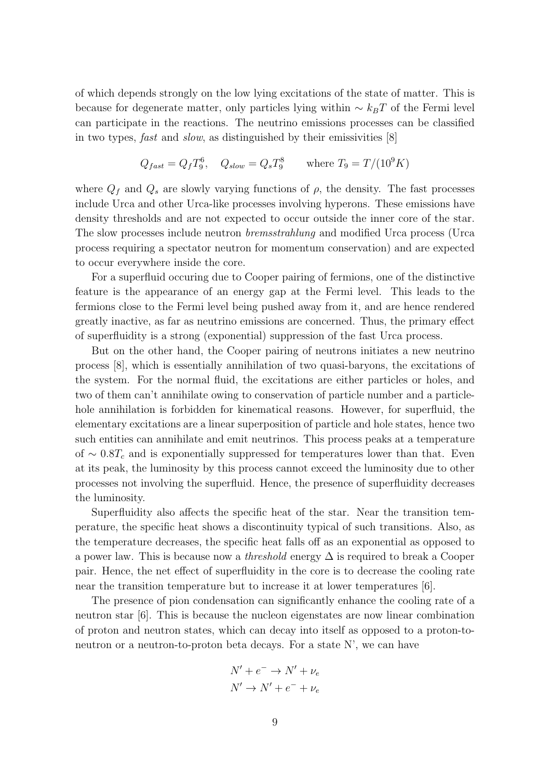of which depends strongly on the low lying excitations of the state of matter. This is because for degenerate matter, only particles lying within  $\sim k_BT$  of the Fermi level can participate in the reactions. The neutrino emissions processes can be classified in two types, fast and slow, as distinguished by their emissivities [8]

$$
Q_{fast} = Q_f T_9^6
$$
,  $Q_{slow} = Q_s T_9^8$  where  $T_9 = T/(10^9 K)$ 

where  $Q_f$  and  $Q_s$  are slowly varying functions of  $\rho$ , the density. The fast processes include Urca and other Urca-like processes involving hyperons. These emissions have density thresholds and are not expected to occur outside the inner core of the star. The slow processes include neutron bremsstrahlung and modified Urca process (Urca process requiring a spectator neutron for momentum conservation) and are expected to occur everywhere inside the core.

For a superfluid occuring due to Cooper pairing of fermions, one of the distinctive feature is the appearance of an energy gap at the Fermi level. This leads to the fermions close to the Fermi level being pushed away from it, and are hence rendered greatly inactive, as far as neutrino emissions are concerned. Thus, the primary effect of superfluidity is a strong (exponential) suppression of the fast Urca process.

But on the other hand, the Cooper pairing of neutrons initiates a new neutrino process [8], which is essentially annihilation of two quasi-baryons, the excitations of the system. For the normal fluid, the excitations are either particles or holes, and two of them can't annihilate owing to conservation of particle number and a particlehole annihilation is forbidden for kinematical reasons. However, for superfluid, the elementary excitations are a linear superposition of particle and hole states, hence two such entities can annihilate and emit neutrinos. This process peaks at a temperature of  $\sim 0.8T_c$  and is exponentially suppressed for temperatures lower than that. Even at its peak, the luminosity by this process cannot exceed the luminosity due to other processes not involving the superfluid. Hence, the presence of superfluidity decreases the luminosity.

Superfluidity also affects the specific heat of the star. Near the transition temperature, the specific heat shows a discontinuity typical of such transitions. Also, as the temperature decreases, the specific heat falls off as an exponential as opposed to a power law. This is because now a *threshold* energy  $\Delta$  is required to break a Cooper pair. Hence, the net effect of superfluidity in the core is to decrease the cooling rate near the transition temperature but to increase it at lower temperatures [6].

The presence of pion condensation can significantly enhance the cooling rate of a neutron star [6]. This is because the nucleon eigenstates are now linear combination of proton and neutron states, which can decay into itself as opposed to a proton-toneutron or a neutron-to-proton beta decays. For a state N', we can have

$$
N' + e^- \rightarrow N' + \nu_e
$$
  

$$
N' \rightarrow N' + e^- + \nu_e
$$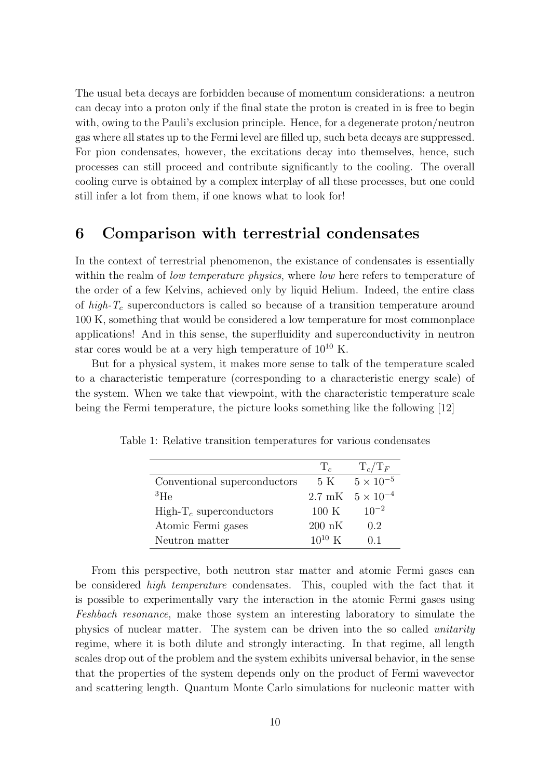The usual beta decays are forbidden because of momentum considerations: a neutron can decay into a proton only if the final state the proton is created in is free to begin with, owing to the Pauli's exclusion principle. Hence, for a degenerate proton/neutron gas where all states up to the Fermi level are filled up, such beta decays are suppressed. For pion condensates, however, the excitations decay into themselves, hence, such processes can still proceed and contribute significantly to the cooling. The overall cooling curve is obtained by a complex interplay of all these processes, but one could still infer a lot from them, if one knows what to look for!

### 6 Comparison with terrestrial condensates

In the context of terrestrial phenomenon, the existance of condensates is essentially within the realm of *low temperature physics*, where *low* here refers to temperature of the order of a few Kelvins, achieved only by liquid Helium. Indeed, the entire class of high- $T_c$  superconductors is called so because of a transition temperature around 100 K, something that would be considered a low temperature for most commonplace applications! And in this sense, the superfluidity and superconductivity in neutron star cores would be at a very high temperature of  $10^{10}$  K.

But for a physical system, it makes more sense to talk of the temperature scaled to a characteristic temperature (corresponding to a characteristic energy scale) of the system. When we take that viewpoint, with the characteristic temperature scale being the Fermi temperature, the picture looks something like the following [12]

|                              | $\mathbf{T}_c$   | $T_c/T_F$                 |
|------------------------------|------------------|---------------------------|
| Conventional superconductors | 5 K              | $5 \times 10^{-5}$        |
| ${}^{3}$ He                  |                  | 2.7 mK $5 \times 10^{-4}$ |
| $High-Tc superconductors$    | $100 \text{ K}$  | $10^{-2}$                 |
| Atomic Fermi gases           | $200 \text{ nK}$ | 0.2                       |
| Neutron matter               | $10^{10}$ K      | 01                        |

Table 1: Relative transition temperatures for various condensates

From this perspective, both neutron star matter and atomic Fermi gases can be considered high temperature condensates. This, coupled with the fact that it is possible to experimentally vary the interaction in the atomic Fermi gases using Feshbach resonance, make those system an interesting laboratory to simulate the physics of nuclear matter. The system can be driven into the so called unitarity regime, where it is both dilute and strongly interacting. In that regime, all length scales drop out of the problem and the system exhibits universal behavior, in the sense that the properties of the system depends only on the product of Fermi wavevector and scattering length. Quantum Monte Carlo simulations for nucleonic matter with